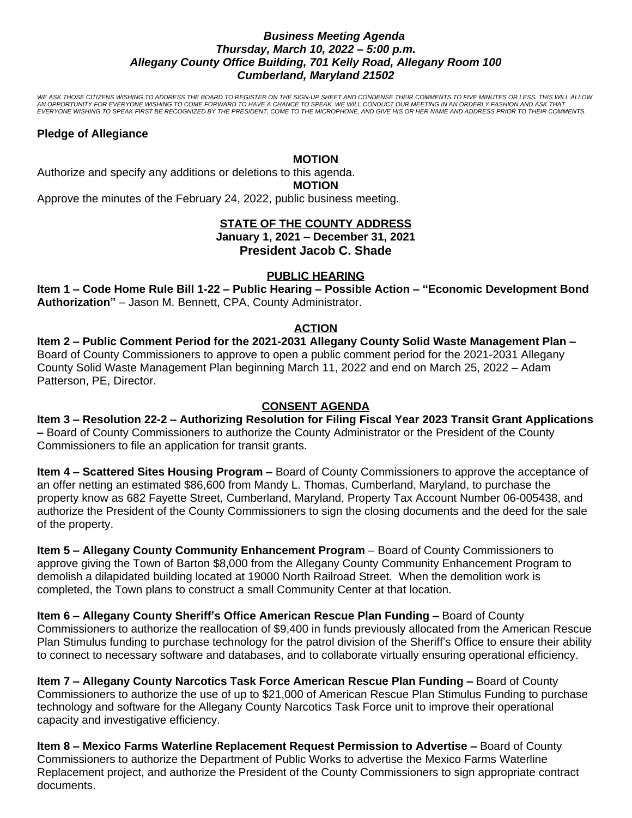## *Business Meeting Agenda Thursday, March 10, 2022 – 5:00 p.m. Allegany County Office Building, 701 Kelly Road, Allegany Room 100 Cumberland, Maryland 21502*

*WE ASK THOSE CITIZENS WISHING TO ADDRESS THE BOARD TO REGISTER ON THE SIGN-UP SHEET AND CONDENSE THEIR COMMENTS TO FIVE MINUTES OR LESS. THIS WILL ALLOW AN OPPORTUNITY FOR EVERYONE WISHING TO COME FORWARD TO HAVE A CHANCE TO SPEAK. WE WILL CONDUCT OUR MEETING IN AN ORDERLY FASHION AND ASK THAT EVERYONE WISHING TO SPEAK FIRST BE RECOGNIZED BY THE PRESIDENT, COME TO THE MICROPHONE, AND GIVE HIS OR HER NAME AND ADDRESS PRIOR TO THEIR COMMENTS.*

### **Pledge of Allegiance**

#### **MOTION**

Authorize and specify any additions or deletions to this agenda.

**MOTION**

Approve the minutes of the February 24, 2022, public business meeting.

# **STATE OF THE COUNTY ADDRESS January 1, 2021 – December 31, 2021 President Jacob C. Shade**

# **PUBLIC HEARING**

**Item 1 – Code Home Rule Bill 1-22 – Public Hearing – Possible Action – "Economic Development Bond Authorization"** – Jason M. Bennett, CPA, County Administrator.

### **ACTION**

**Item 2 – Public Comment Period for the 2021-2031 Allegany County Solid Waste Management Plan –** Board of County Commissioners to approve to open a public comment period for the 2021-2031 Allegany County Solid Waste Management Plan beginning March 11, 2022 and end on March 25, 2022 – Adam Patterson, PE, Director.

## **CONSENT AGENDA**

**Item 3 – Resolution 22-2 – Authorizing Resolution for Filing Fiscal Year 2023 Transit Grant Applications –** Board of County Commissioners to authorize the County Administrator or the President of the County Commissioners to file an application for transit grants.

**Item 4 – Scattered Sites Housing Program –** Board of County Commissioners to approve the acceptance of an offer netting an estimated \$86,600 from Mandy L. Thomas, Cumberland, Maryland, to purchase the property know as 682 Fayette Street, Cumberland, Maryland, Property Tax Account Number 06-005438, and authorize the President of the County Commissioners to sign the closing documents and the deed for the sale of the property.

**Item 5 – Allegany County Community Enhancement Program** – Board of County Commissioners to approve giving the Town of Barton \$8,000 from the Allegany County Community Enhancement Program to demolish a dilapidated building located at 19000 North Railroad Street. When the demolition work is completed, the Town plans to construct a small Community Center at that location.

**Item 6 – Allegany County Sheriff's Office American Rescue Plan Funding –** Board of County Commissioners to authorize the reallocation of \$9,400 in funds previously allocated from the American Rescue Plan Stimulus funding to purchase technology for the patrol division of the Sheriff's Office to ensure their ability to connect to necessary software and databases, and to collaborate virtually ensuring operational efficiency.

**Item 7 – Allegany County Narcotics Task Force American Rescue Plan Funding –** Board of County Commissioners to authorize the use of up to \$21,000 of American Rescue Plan Stimulus Funding to purchase technology and software for the Allegany County Narcotics Task Force unit to improve their operational capacity and investigative efficiency.

**Item 8 – Mexico Farms Waterline Replacement Request Permission to Advertise –** Board of County Commissioners to authorize the Department of Public Works to advertise the Mexico Farms Waterline Replacement project, and authorize the President of the County Commissioners to sign appropriate contract documents.